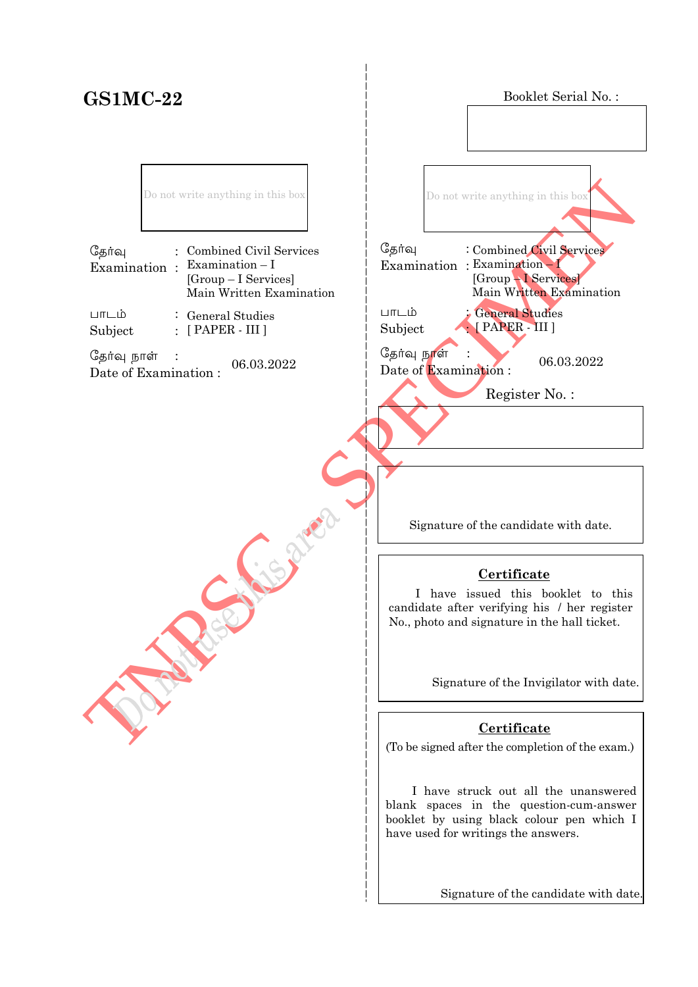# **GS1MC-22**

Booklet Serial No. :

Do not write anything in this box

| தேர்வு | : Combined Civil Services<br>Examination : Examination $-I$<br>$[Group-I\; Services]$<br>Main Written Examination |
|--------|-------------------------------------------------------------------------------------------------------------------|
| பாடம்  | $\therefore$ General Studies                                                                                      |

Subject : General Studies  $\colon$  [ PAPER - III ]

தேர்வு நாள்  $\frac{C_{\frac{1}{2}}}{\frac{1}{2}}$   $\frac{C_{\frac{1}{2}}}{\frac{1}{2}}$   $\frac{C_{\frac{1}{2}}}{\frac{1}{2}}$   $\frac{C_{\frac{1}{2}}}{\frac{1}{2}}$   $\frac{C_{\frac{1}{2}}}{\frac{1}{2}}$   $\frac{C_{\frac{1}{2}}}{\frac{1}{2}}$   $\frac{C_{\frac{1}{2}}}{\frac{1}{2}}$   $\frac{C_{\frac{1}{2}}}{\frac{1}{2}}$   $\frac{C_{\frac{1}{2}}}{\frac{1}{2}}$   $\frac{C_{\frac{1}{2}}}{$ 

TNPSC - SPECIMEN தேர்வு Examination : Examination – I  $L$ m $L$ ம் Subject : Do not write anything in this box General Studies [ PAPER - III ] Combined Civil Services [Group – I Services] Main Written Examination

Date of Examination :  $06.03.2022$ 

j

Register No. :

Signature of the candidate with date.

## **Certificate**

 I have issued this booklet to this candidate after verifying his / her register No., photo and signature in the hall ticket.

Signature of the Invigilator with date.

## **Certificate**

(To be signed after the completion of the exam.)

 I have struck out all the unanswered blank spaces in the question-cum-answer booklet by using black colour pen which I have used for writings the answers.

Signature of the candidate with date.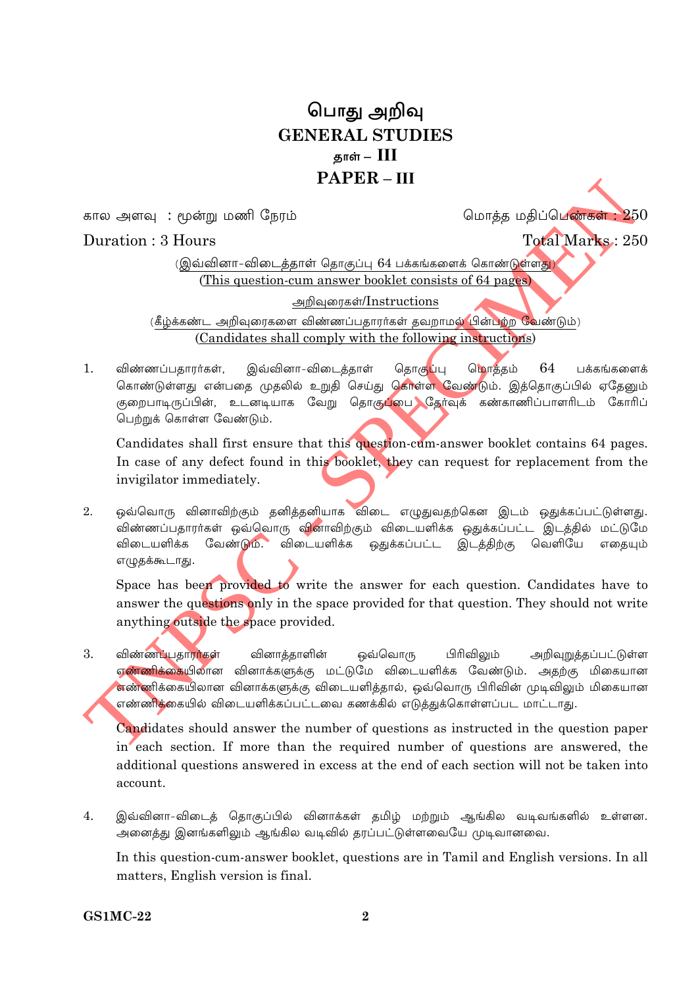## பொது அறிவு **GENERAL STUDIES** தாள் –  $\text{III}$  $PAPER = III$

கால அளவு : மூன்று மணி நேரம்

மொக்க மகிப்பெண்கள் :  $250$ 

## Duration  $\cdot$  3 Hours

Total Marks: 250

(இவ்வினா-விடைத்தாள் தொகுப்பு 64 பக்கங்களைக் கொண்டுள்ளது) (This question-cum answer booklet consists of 64 pages)

அறிவுரைகள்/Instructions

(கீழ்க்கண்ட அறிவுரைகளை விண்ணப்பதாரர்கள் தவறாமல் பின்பற்ற வேண்டும்) (Candidates shall comply with the following instructions)

இவ்வினா-விடைக்காள்  $\mathbf{1}$ விண்ணப்பகாார்கள். கொகுப்பு மொக்கம் 64 பக்கங்களைக் கொண்டுள்ளது என்பதை முதலில் உறுதி செய்து கொள்ள வேண்டும். இத்தொகுப்பில் ஏதேனும் குறைபாடிருப்பின், உடனடியாக வேறு தொகுப்பை தேர்வுக் கண்காணிப்பாளரிடம் கோரிப் பெற்றுக் கொள்ள வேண்டும்.

Candidates shall first ensure that this question-cum-answer booklet contains 64 pages. In case of any defect found in this booklet, they can request for replacement from the invigilator immediately.

ஒவ்வொரு வினாவிற்கும் தனித்தனியாக விடை எழுதுவதற்கென இடம் ஒதுக்கப்பட்டுள்ளது.  $2^{\circ}$ விண்ணப்பதாரர்கள் ஒவ்வொரு வினாவிற்கும் விடையளிக்க ஒதுக்கப்பட்ட இடத்தில் மட்டுமே விடையளிக்க வேண்டும். விடையளிக்க ஒதுக்கப்பட்ட இடத்திற்கு வெளியே எதையும் எழுதக்கூடாது.

Space has been provided to write the answer for each question. Candidates have to answer the questions only in the space provided for that question. They should not write anything outside the space provided.

 $3.$ விண்ணப்பதாராகள் வினாக்காளின் ஒவ்வொரு பிரிவிலும் அறிவுறுத்தப்பட்டுள்ள <mark>எண்ணிக்கை</mark>யிலான வினாக்களுக்கு மட்டுமே விடையளிக்க வேண்டும். அதற்கு மிகையான எண்ணிக்கையிலான வினாக்களுக்கு விடையளித்தால், ஒவ்வொரு பிரிவின் முடிவிலும் மிகையான எண்ணிக்கையில் விடையளிக்கப்பட்டவை கணக்கில் எடுத்துக்கொள்ளப்பட மாட்டாது.

Candidates should answer the number of questions as instructed in the question paper in each section. If more than the required number of questions are answered, the additional questions answered in excess at the end of each section will not be taken into account.

இவ்வினா-விடைத் தொகுப்பில் வினாக்கள் தமிழ் மற்றும் ஆங்கில வடிவங்களில் உள்ளன.  $4.$ அனைத்து இனங்களிலும் ஆங்கில வடிவில் தரப்பட்டுள்ளவையே முடிவானவை.

In this question-cum-answer booklet, questions are in Tamil and English versions. In all matters, English version is final.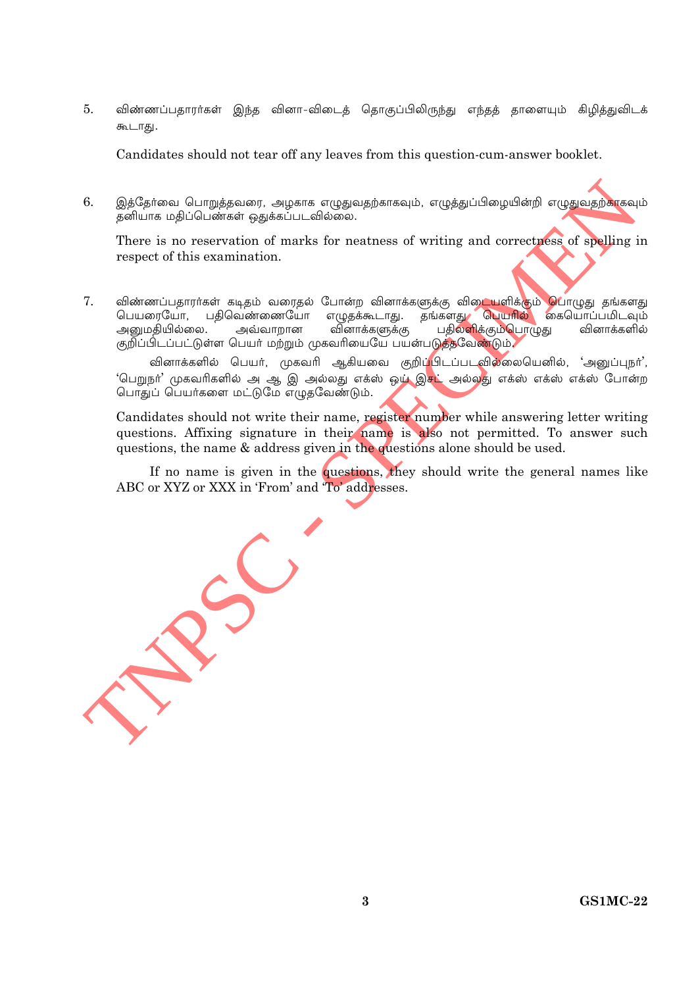$5<sub>1</sub>$ விண்ணப்பதாரர்கள் இந்த வினா-விடைத் தொகுப்பிலிருந்து எந்தத் தாளையும் கிழித்துவிடக் கூடாது.

Candidates should not tear off any leaves from this question-cum-answer booklet.

6. இத்தேர்வை பொறுத்தவரை, அழகாக எழுதுவதற்காகவும், எழுத்துப்பிழையின்றி எழுதுவதற்காகவும் 

There is no reservation of marks for neatness of writing and correctness of spelling in respect of this examination.

7. விண்ணப்பதாரா்கள் கடிதம் வரைதல் போன்ற வினாக்களுக்கு விடையளிக்கும் **பொ**ழுது தங்களது பெயரையோ, பதிவெண்ணையோ எழுதக்கூடாது. தங்களது <mark>பெயரில்</mark> கையொப்பமிடவும் பதிலளிக்கும்பொழுது அனுமதியில்லை. அவ்வாறான வினாக்களுக்கு வினாக்களில் குறிப்பிடப்பட்டுள்ள பெயர் மற்றும் முகவரியையே பயன்படுத்தவேண்டும்.

வினாக்களில் பெயர், முகவரி ஆகியவை குறிப்<mark>பிடப்படவில்லையெனில், 'அனுப்புநர்'</mark>, 'பெறுநா' முகவரிகளில் அ ஆ இ அல்லது எக்ஸ் ஒ**ழ் இசட்** அல்ல<mark>து எக்ஸ் எக்ஸ் எக்ஸ் போன்ற</mark> பொதுப் பெயர்களை மட்டுமே எழுதவேண்டும்.

Candidates should not write their name, register number while answering letter writing questions. Affixing signature in their name is also not permitted. To answer such questions, the name & address given in the questions alone should be used.

If no name is given in the questions, they should write the general names like ABC or XYZ or XXX in 'From' and 'To' addresses.

**GS1MC-22**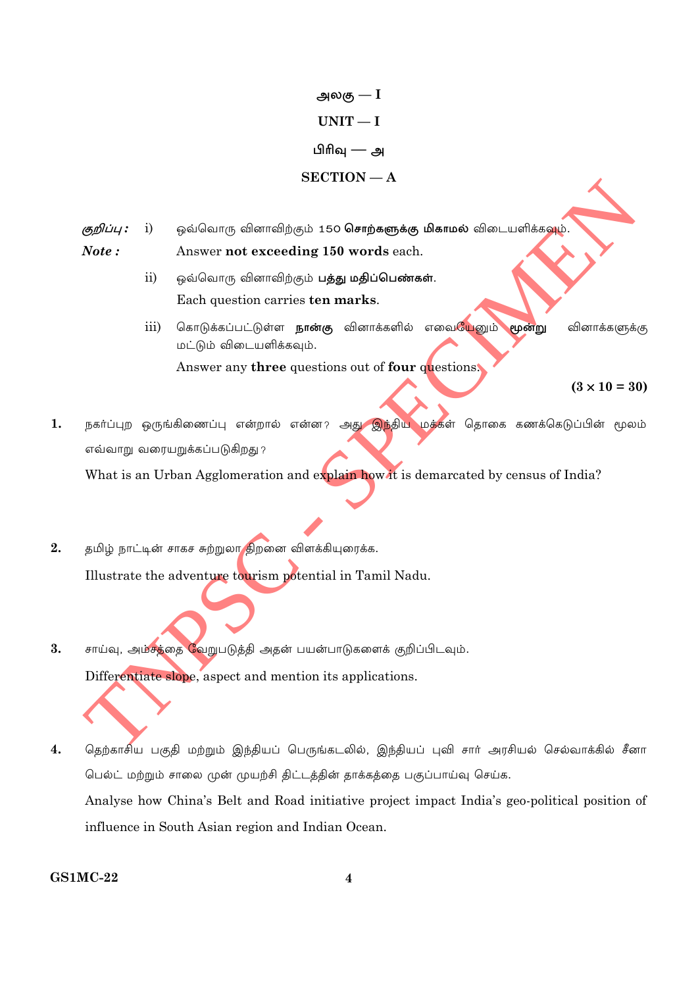அலகு —  $\mathrm{I}% _{1}\left( \Gamma\left( \Gamma\right) \right)$  $UNIT-I$ பிரிவு — அ  $SECTION - A$ 

ஒவ்வொரு வினாவிற்கும் 150 **சொற்களுக்கு மிகாமல்** விடையளிக்க**வும்.** குறிப்பு :  $i)$  $Note:$ Answer not exceeding 150 words each.

- $\overline{ii}$ ஒவ்வொரு வினாவிற்கும் **பத்து மதிப்பெண்கள்**. Each question carries ten marks.
- கொடுக்கப்பட்டுள்ள **நான்கு** வினாக்களில் எவையேனும்  $\overline{\text{iii}}$ மூன்று வினாக்களுக்கு மட்டும் விடையளிக்கவும். Answer any three questions out of four questions.

 $(3 \times 10 = 30)$ 

நகர்ப்புற ஒருங்கிணைப்பு என்றால் என்ன? அது <mark>இந்திய மக்க</mark>ள் தொகை கணக்கெடுப்பின் மூலம்  $1.$ எவ்வாறு வரையறுக்கப்படுகிறது ?

What is an Urban Agglomeration and explain how it is demarcated by census of India?

- தமிழ் நாட்டின் சாகச சுற்றுலா திறனை விளக்கியுரைக்க.  $2.$ Illustrate the adventure tourism potential in Tamil Nadu.
- $\overline{3}$ . சாய்வு, அம்சத்தை வேறுபடுத்தி அதன் பயன்பாடுகளைக் குறிப்பிடவும். Differentiate slope, aspect and mention its applications.
- தெற்காசிய பகுதி மற்றும் இந்தியப் பெருங்கடலில், இந்தியப் புவி சார் அரசியல் செல்வாக்கில் சீனா  $4.$ பெல்ட் மற்றும் சாலை முன் முயற்சி திட்டத்தின் தாக்கத்தை பகுப்பாய்வு செய்க. Analyse how China's Belt and Road initiative project impact India's geo-political position of influence in South Asian region and Indian Ocean.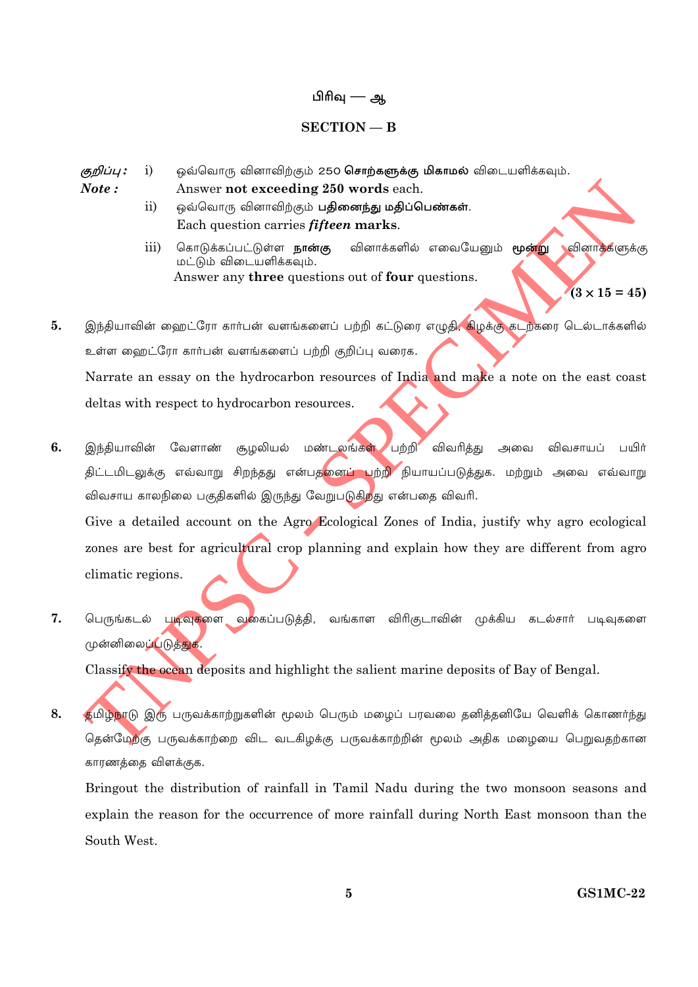#### பிரிவு — ஆ

#### $SECTION - B$

ஒவ்வொரு வினாவிற்கும் 250 சொற்களுக்கு மிகாமல் விடையளிக்கவும். குறிப்பு :  $i)$ 

 $Note:$ Answer not exceeding 250 words each.

- ஒவ்வொரு வினாவிற்கும் **பதினைந்து மதிப்பெண்கள்**.  $\overline{ii}$ Each question carries *fifteen* marks.
- <mark>வினாக்க</mark>ளுக்கு  $\overline{iii}$ கொடுக்கப்பட்டுள்ள **நான்கு** வினாக்களில் எவையேனும் **மூன்று** மட்டும் விடையளிக்கவும். Answer any three questions out of four questions.

 $(3 \times 15 = 45)$ 

- இந்தியாவின் ஹைட்ரோ கார்பன் வளங்களைப் பற்றி கட்டுரை எழுதி, கிழக்கு கடற்கரை டெல்டாக்களில் 5. உள்ள ஹைட்ரோ கார்பன் வளங்களைப் பற்றி குறிப்பு வரைக. Narrate an essay on the hydrocarbon resources of India and make a note on the east coast deltas with respect to hydrocarbon resources.
- 6. மண்டலங்கள் பற்றி விவரித்து இந்தியாவின் வேளாண் சூழலியல் அவை விவசாயப் பயிர் திட்டமிடலுக்கு எவ்வாறு சிறந்தது என்பத<mark>னைப் பற்றி</mark> நியாயப்படுத்துக. மற்றும் அவை எவ்வாறு விவசாய காலநிலை பகுதிகளில் இருந்து வேறுபடுகிறது என்பதை விவரி. Give a detailed account on the Agro Ecological Zones of India, justify why agro ecological zones are best for agricultural crop planning and explain how they are different from agro climatic regions.
- 7. பெருங்கடல் படிவுகளை வகைப்படுத்தி, வங்காள விரிகுடாவின் முக்கிய கடல்சார் படிவுகளை முன்னிலைப்படுத்துக.

Classify the ocean deposits and highlight the salient marine deposits of Bay of Bengal.

8. தமிழ்நாடு இரு பருவக்காற்றுகளின் மூலம் பெரும் மழைப் பரவலை தனித்தனியே வெளிக் கொணர்ந்து தென்மேற்கு பருவக்காற்றை விட வடகிழக்கு பருவக்காற்றின் மூலம் அதிக மழையை பெறுவதற்கான காரணத்தை விளக்குக.

Bringout the distribution of rainfall in Tamil Nadu during the two monsoon seasons and explain the reason for the occurrence of more rainfall during North East monsoon than the South West.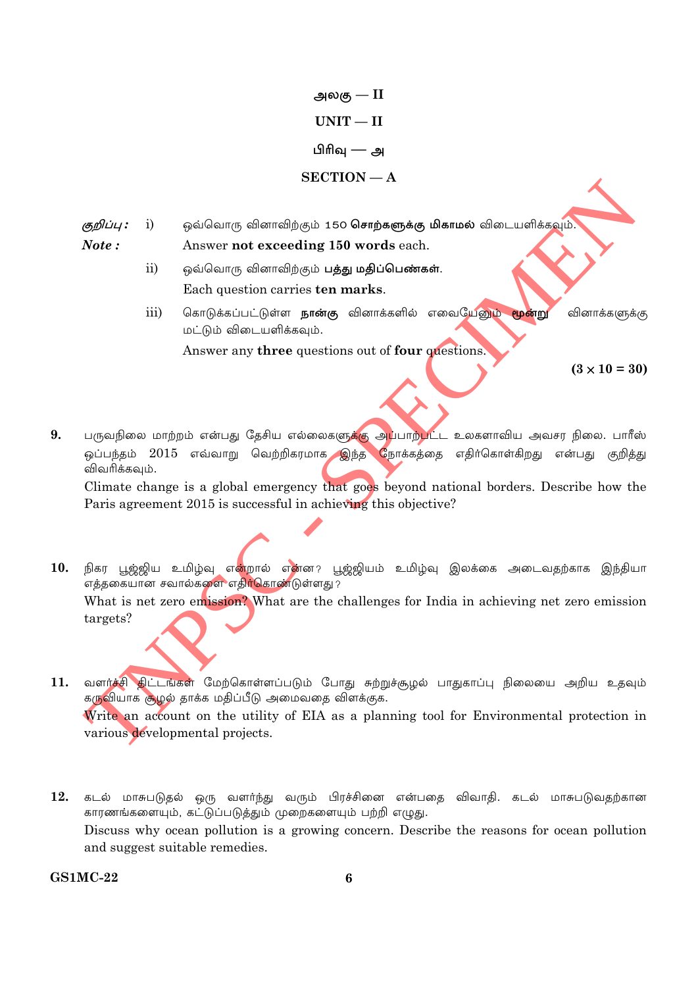அலகு —  $\mathrm{II}$  $UNIT - II$ பிரிவு — அ  $SECTION - A$ 

- ஒவ்வொரு வினாவிற்கும் 150 **சொற்களுக்கு மிகாமல்** விடையளிக்கவும். குறிப்பு :  $\mathbf{i}$ Note: Answer not exceeding 150 words each.
	- $ii)$ ஒவ்வொரு வினாவிற்கும் **பத்து மதிப்பெண்கள்**. Each question carries ten marks.
	- கொடுக்கப்பட்டுள்ள **நான்கு** வினாக்களில் எவையேனும் மூன்று iii) வினாக்களுக்கு மட்டும் விடையளிக்கவும்.

Answer any three questions out of four questions

 $(3 \times 10 = 30)$ 

9. பருவநிலை மாற்றம் என்பது தேசிய எல்லைகளுக்கு அப்பாற்பட்ட உலகளாவிய அவசர நிலை. பாரீஸ் ஒப்பந்தம் 2015 எவ்வாறு வெற்றிகரமாக இந்த நோக்கத்தை எதிர்கொள்கிறது என்பது குறித்து விவரிக்கவும்.

Climate change is a global emergency that goes beyond national borders. Describe how the Paris agreement 2015 is successful in achieving this objective?

- 10. நிகர பூஜ்ஜிய உமிழ்வு எ<mark>ன்</mark>றால் எ<mark>ன்ன? பூஜ்ஜியம் உமிழ்வு இலக்கை அடைவதற்காக இந்தியா</mark> .<br>எத்தகையான சவால்களை எதிர்கொண்டுள்ளது ? What is net zero emission? What are the challenges for India in achieving net zero emission targets?
- வளர்ச்சி திட்டங்கள் மேற்கொள்ளப்படும் போது சுற்றுச்சூழல் பாதுகாப்பு நிலையை அறிய உதவும் 11. கருவியாக சூழல் தாக்க மதிப்பீடு அமைவதை விளக்குக. Write an account on the utility of EIA as a planning tool for Environmental protection in various developmental projects.
- $12.$  கடல் மாசுபடுதல் ஒரு வளர்ந்து வரும் பிரச்சினை என்பதை விவாதி. கடல் மாசுபடுவதற்கான காரணங்களையும், கட்டுப்படுத்தும் முறைகளையும் பற்றி எழுது. Discuss why ocean pollution is a growing concern. Describe the reasons for ocean pollution and suggest suitable remedies.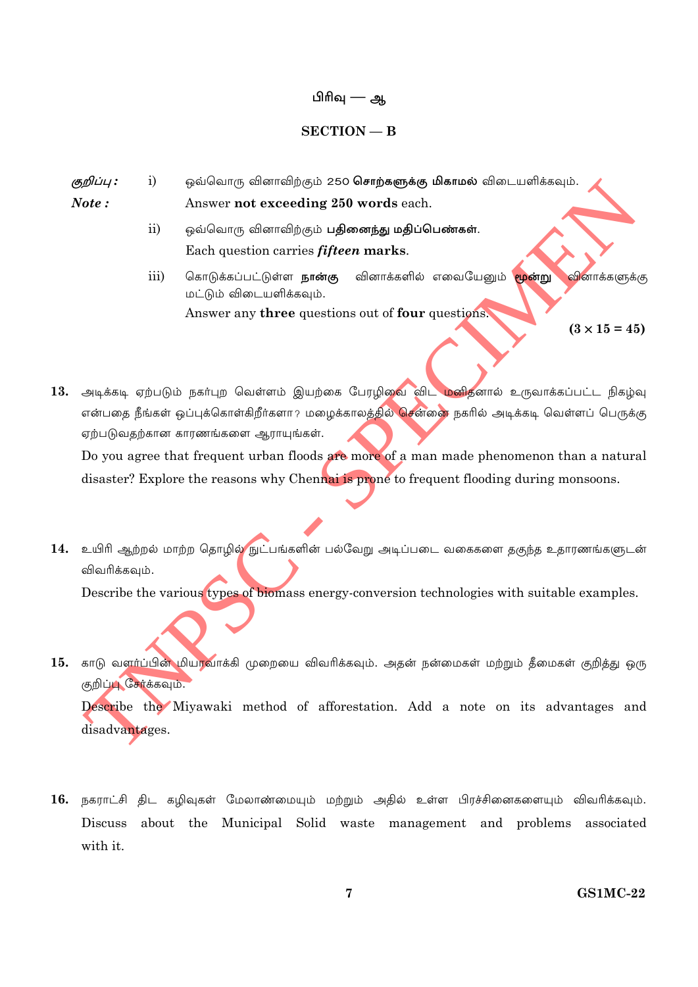### பிரிவு — ஆ

#### $SECTION - B$

- குறிப்பு :  $i)$ ஒவ்வொரு வினாவிற்கும் 250 **சொற்களுக்கு மிகாமல்** விடையளிக்கவும்.  $Note:$ Answer not exceeding 250 words each.
	- $ii)$ ஒவ்வொரு வினாவிற்கும் **பதினைந்து மதிப்பெண்கள்**. Each question carries *fifteen* marks.
	- வினாக்களில் எவையேனும் <mark>மூன்று</mark> <mark>வி</mark>னாக்களுக்கு iii) கொடுக்கப்பட்டுள்ள **நான்கு** மட்டும் விடையளிக்கவும். Answer any three questions out of four questions.

 $(3 \times 15 = 45)$ 

13. அடிக்கடி ஏற்படும் நகர்புற வெள்ளம் இயற்கை பேரழிவை விட மனிதனால் உருவாக்கப்பட்ட நிகழ்வு என்பதை நீங்கள் ஒப்புக்கொள்கிறீர்களா? மழைக்காலத்தில் சென்னை நகரில் அடிக்கடி வெள்ளப் பெருக்கு ஏற்படுவதற்கான காரணங்களை ஆராயுங்கள்.

Do you agree that frequent urban floods are more of a man made phenomenon than a natural disaster? Explore the reasons why Chennai is prone to frequent flooding during monsoons.

14. உயிரி ஆற்றல் மாற்ற தொழில் நுட்பங்களின் பல்வேறு அடிப்படை வகைகளை தகுந்த உதாரணங்களுடன் விவரிக்கவும்.

Describe the various types of biomass energy-conversion technologies with suitable examples.

15. காடு வளா்ப்பின் மியாவாக்கி முறையை விவாிக்கவும். அதன் நன்மைகள் மற்றும் தீமைகள் குறித்து ஒரு குறிப்பு சேர்க்கவும். Describe the Miyawaki method of afforestation. Add a note on its advantages and

disadvantages.

16. நகராட்சி திட கழிவுகள் மேலாண்மையும் மற்றும் அதில் உள்ள பிரச்சினைகளையும் விவரிக்கவும். Discuss about the Municipal Solid waste management and problems associated with it.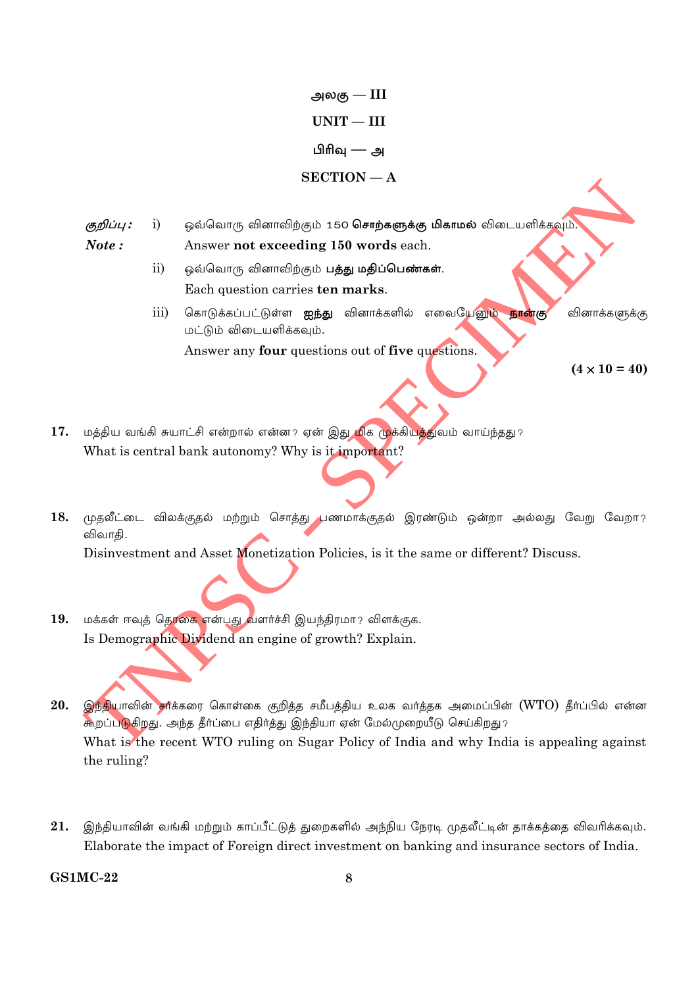அலகு —  $\text{III}$  $UNIT - III$ பிரிவு — அ  $SECTION - A$ 

- ஒவ்வொரு வினாவிற்கும் 150 சொற்களுக்கு மிகாமல் விடையளிக்கவும். குறிப்பு :  $i)$ Note: Answer not exceeding 150 words each.
	- $\overline{ii}$ ஒவ்வொரு வினாவிற்கும் **பத்து மதிப்பெண்கள்**. Each question carries ten marks.
	- iii) கொடுக்கப்பட்டுள்ள ஐந்து வினாக்களில் எவையேனும் நான்கு வினாக்களுக்கு மட்டும் விடையளிக்கவும்.

Answer any four questions out of five questions.

 $(4 \times 10 = 40)$ 

- 17. மத்திய வங்கி சுயாட்சி என்றால் என்ன? ஏன் இது மிக முக்கியத்துவம் வாய்ந்தது? What is central bank autonomy? Why is it important?
- 18. முதலீட்டை விலக்குதல் மற்றும் சொத்து பணமாக்குதல் இரண்டும் ஒன்றா அல்லது வேறு வேறா? விவாகி.

Disinvestment and Asset Monetization Policies, is it the same or different? Discuss.

- மக்கள் ஈவுத் தொகை என்பது வளர்ச்சி இயந்திரமா? விளக்குக. 19. Is Demographic Dividend an engine of growth? Explain.
- 20. இந்தியாவின் சர்க்கரை கொள்கை குறித்த சமீபத்திய உலக வர்த்தக அமைப்பின் (WTO) தீர்ப்பில் என்ன கூறப்படுகிறது. அந்த தீர்ப்பை எதிர்த்து இந்தியா ஏன் மேல்முறையீடு செய்கிறது? What is the recent WTO ruling on Sugar Policy of India and why India is appealing against the ruling?
- 21. இந்தியாவின் வங்கி மற்றும் காப்பீட்டுத் துறைகளில் அந்நிய நேரடி முதலீட்டின் தாக்கத்தை விவரிக்கவும். Elaborate the impact of Foreign direct investment on banking and insurance sectors of India.